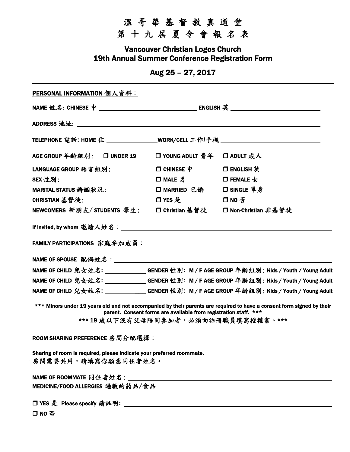## 溫 哥 華 基 督 教 真 道 堂

第 十 九 屆 夏 令 會 報 名 表

Vancouver Christian Logos Church 19th Annual Summer Conference Registration Form

Aug 25 – 27, 2017

| <b>PERSONAL INFORMATION 個人資料:</b>                                                            |                                                                  |                                                                                                                                                              |
|----------------------------------------------------------------------------------------------|------------------------------------------------------------------|--------------------------------------------------------------------------------------------------------------------------------------------------------------|
|                                                                                              |                                                                  |                                                                                                                                                              |
|                                                                                              |                                                                  |                                                                                                                                                              |
| TELEPHONE 電話: HOME 住 _________________WORK/CELL 工作/手機 __________________________             |                                                                  |                                                                                                                                                              |
| AGE GROUP 年齢組別: □ UNDER 19                                                                   | □ YOUNG ADULT 青年 □ ADULT 成人                                      |                                                                                                                                                              |
| LANGUAGE GROUP 語言組別:                                                                         | $\Box$ CHINESE $\,\,\Psi$                                        | □ ENGLISH 英                                                                                                                                                  |
| SEX 性別:                                                                                      | $\Box$ MALE 男                                                    | $\Box$ FEMALE $\pm$                                                                                                                                          |
| MARITAL STATUS 婚姻狀況:                                                                         | □ MARRIED 已婚                                                     | □ SINGLE 單身                                                                                                                                                  |
| CHRISTIAN 基督徒:                                                                               | □ YES 是                                                          | 口NO否                                                                                                                                                         |
| NEWCOMERS 新朋友/ STUDENTS 學生: □ Christian 基督徒                                                  |                                                                  | □ Non-Christian 非基督徒                                                                                                                                         |
| FAMILY PARTICIPATIONS 家庭参加成員:<br>NAME OF SPOUSE 配偶姓名: _______________________                |                                                                  |                                                                                                                                                              |
|                                                                                              |                                                                  | NAME OF CHILD 兒女姓名: ____________GENDER 性別: M / F AGE GROUP 年龄組別: Kids / Youth / Young Adult                                                                  |
|                                                                                              |                                                                  | NAME OF CHILD 兒女姓名: ____________GENDER 性別: M / F AGE GROUP 年龄組別: Kids / Youth / Young Adult                                                                  |
|                                                                                              |                                                                  | NAME OF CHILD 兒女姓名: ___________GENDER 性別: M / F AGE GROUP 年齡組別: Kids / Youth / Young Adult                                                                   |
|                                                                                              | parent. Consent forms are available from registration staff. *** | *** Minors under 19 years old and not accompanied by their parents are required to have a consent form signed by their<br>***19歲以下沒有父母陪同參加者,必須向註冊職員填寫授權書。*** |
| ROOM SHARING PREFERENCE 房間分配選擇:                                                              |                                                                  |                                                                                                                                                              |
| Sharing of room is required, please indicate your preferred roommate.<br>房間需要共用,請填寫你願意同住者姓名。 |                                                                  |                                                                                                                                                              |
|                                                                                              |                                                                  |                                                                                                                                                              |
|                                                                                              |                                                                  |                                                                                                                                                              |

MEDICINE/FOOD ALLERGIES 過敏的药品/食品

YES 是Please specify 請註明**:** 

NO 否